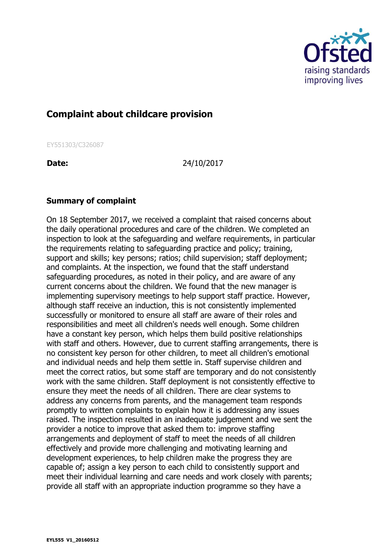

## **Complaint about childcare provision**

EY551303/C326087

**Date:** 24/10/2017

## **Summary of complaint**

On 18 September 2017, we received a complaint that raised concerns about the daily operational procedures and care of the children. We completed an inspection to look at the safeguarding and welfare requirements, in particular the requirements relating to safeguarding practice and policy; training, support and skills; key persons; ratios; child supervision; staff deployment; and complaints. At the inspection, we found that the staff understand safeguarding procedures, as noted in their policy, and are aware of any current concerns about the children. We found that the new manager is implementing supervisory meetings to help support staff practice. However, although staff receive an induction, this is not consistently implemented successfully or monitored to ensure all staff are aware of their roles and responsibilities and meet all children's needs well enough. Some children have a constant key person, which helps them build positive relationships with staff and others. However, due to current staffing arrangements, there is no consistent key person for other children, to meet all children's emotional and individual needs and help them settle in. Staff supervise children and meet the correct ratios, but some staff are temporary and do not consistently work with the same children. Staff deployment is not consistently effective to ensure they meet the needs of all children. There are clear systems to address any concerns from parents, and the management team responds promptly to written complaints to explain how it is addressing any issues raised. The inspection resulted in an inadequate judgement and we sent the provider a notice to improve that asked them to: improve staffing arrangements and deployment of staff to meet the needs of all children effectively and provide more challenging and motivating learning and development experiences, to help children make the progress they are capable of; assign a key person to each child to consistently support and meet their individual learning and care needs and work closely with parents; provide all staff with an appropriate induction programme so they have a